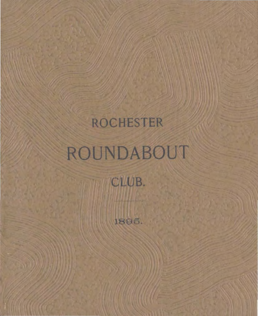# **ROCHESTER** ROUNDABOUT

CLUB.

1895.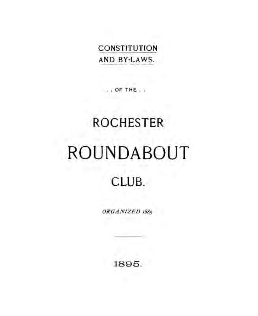# **CONSTITUTION** AND BY-LAWS.

OF THE.

# **ROCHESTER ROUNDABOUT** CLUB.

ORGANIZED 1885

1895.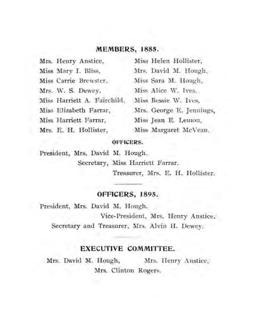# **MEMBERS, 1885.**

| Mrs. Henry Anstice,         | Miss Helen Hollister,    |
|-----------------------------|--------------------------|
| Miss Mary I. Bliss,         | Mrs. David M. Hough,     |
| Miss Carrie Brewster,       | Miss Sara M. Hough,      |
| Mrs. W. S. Dewey,           | Miss Alice W. Ives,      |
| Miss Harriett A. Fairchild, | Miss Bessie W. Ives,     |
| Miss Elizabeth Farrar,      | Mrs. George E. Jennings, |
| Miss Harriett Farrar,       | Miss Jean E. Lemon,      |
| Mrs. E. H. Hollister,       | Miss Margaret McVeau.    |

# **OFFICERS.**

President, Mrs. David M. Hough. Secretary, Miss Harriett Farrar.

Treasurer, Mrs. E. **H.** Hollister.

# **OFFICERS, 1895.**

President, Mrs. David M. Hough.

Vice-President, Mrs. Henry Anstice. Secretary and Treasurer, Mrs. Alvin H. Dewey.

# **EXECUTIVE COMMITTEE.**

Mrs. David M. Hough, Mrs. Henry Anstice, Mrs. Clinton Rogers.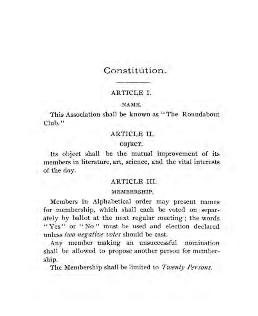# Constitution.

# ARTICLE I.

## NAME.

This Association shall be known as "The Roundabout Club."

# ARTICLE II.

## OBJECT.

Its object shall be the mutual improvement of its members in literature, art, science, and the vital interests of the day.

# ARTICLE III.

#### MEMBERSHIP.

Members in Alphabetical order may present names for membership, which shall each be voted on separately by ballot at the next regular meeting ; the words "Yes" or "No" must be used and election declared unless *two negative votes* should be cast.

Any member making an unsuccessful nomination shall be allowed to propose another person for membership.

The Membership shall be limited to *Twenty Persons.*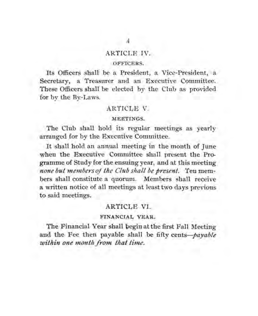# ARTICLE IV.

## OFFICERS.

Its Officers shall be a President, a Vice-President, a Secretary, a Treasurer and an Executive Committee. These Officers shall be elected by the Club as provided for by the By-Laws.

# ARTICLE V.

## MEETINGS.

The Club shall hold its regular meetings as yearly arranged for by the Executive Committee.

It shall hold an annual meeting in the month of June when the Executive Committee shall present the Programme of Study for the ensuing year, and at this meeting *none but members of the Club shall be present.* Ten members shall constitute a quorum. Members shall receive a written notice of all meetings at least two days previous to said meetings.

# ARTICLE VI.

## FINANCIAL YEAR.

The Financial Year shall pegin at the first Fall Meeting and the Fee then payable shall be fifty *cents-payable*  within one month from that time.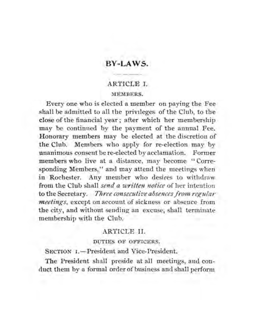# **BY-LAWS.**

## ARTICLE I.

#### MEMBERS.

Every one who is elected a member on paying the Fee shall be admitted to all the privileges of the Club, to the close of the financial year; after which her membership may be continued by the payment of the annual Fee. Honorary members may be elected at the discretion of the Club. Members who apply for re·election may by unanimous consent be re-elected by acclamation. Former members who live at a distance, may become "Corresponding Members." and may attend the meetings when in Rochester. Any member who desires to withdraw from the Club shall *send a written notice* of her intention to the Secretary. *Three consecutive absences from regular meetings,* except on account of sickness or absence from the city, and without sending an excuse, shall terminate membership with the Club.

## ARTICLE II.

#### DUTIES OF OFFICERS.

SECTION 1.-President and Vice-President.

The President shall preside at all meetings, and conduct them by a formal order of business and shall perform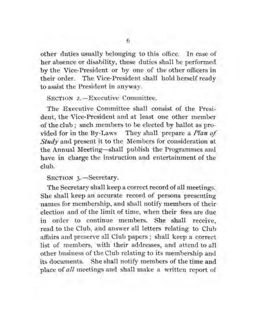other duties usually belonging to this office. In case of her absence or disability, these duties shall be performed by the Vice-President or by one of the other officers in their order. The Vice-President shall hold herself ready to assist the President in anyway.

## SECTION 2.-Executive Committee.

The Executive Committee shall consist of the President, the Vice-President and at least one other member of the club ; such members to be elected by ballot as provided for in the By-Laws They shall prepare a *Plan of*  Study and present it to the Members for consideration at the Annual Meeting-shall publish the Programmes and have in charge the instruction and entertainment of the club.

## SECTION 3.-Secretary.

The Secretary shall keep a correct record of all meetings. She shall keep an accurate record of persons presenting names for membership, and shall notify members of their election and of the limit of time, when their fees are due in order to continue members. She shall receive, read to the Club, and answer all letters relating to Club affairs and preserve all Club papers; shall keep a correct list of members, with their addresses, and attend to all other business of the Club relating to its membership and its documents. She shall notify members of the time and place of *all* meetings and shall make a written report of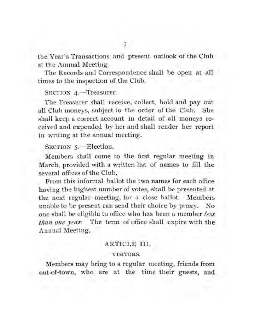the Year's Transactions and present outlook of the Club at the Annual Meeting.

The Records and Correspondence shall be open at all times to the inspection of the Club.

## SECTION 4.-Treasurer.

The Treasurer shall receive, collect, hold and pay out all Club moneys, subject to the order of the Club. She shall keep a correct account in detail of all moneys received and expended by her and shall render her report in writing at the annual meeting.

# SECTION 5.-Election.

Members shall come to the first regular meeting in March, provided with a written list of names to fill the several offices of the Club.

From this informal ballot the two names for each office having the highest number of votes, shall be presented at the next regular meeting, for a close ballot. Members unable to be present can send their choice by proxy. No one shall be eligible to office who has been a member *less than one year.* The term of office shall expire with the Annual Meeting.

# ARTICLE III.

## VISITORS.

Members may bring to a regular meeting, friends from out-of-town, who are at the time their guests, and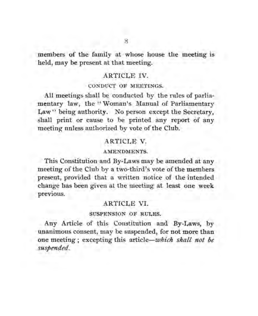members of the family at whose house the meeting is held, may be present at that meeting.

# ARTICLE IV.

## CONDUCT OF MEETINGS.

All meetings shall be conducted by the rules of parliamentary law, the "Woman's Manual of Parliamentary Law" being authority. No person except the Secretary, shall print or cause to be printed any report of any meeting unless authorized by vote of the Club.

# ARTICLE V.

## AMENDMENTS.

This Constitution and By-Laws may be amended at any meeting of the Club by a two-third's vote of the members present, provided that a written notice of the intended change has been given at the meeting at least one week previous.

# ARTICLE VI.

## SUSPENSION OF RULES.

Any Article of this Constitution and By-Laws, by unanimous consent, may be suspended, for not more than one meeting ; excepting this article-which *shall not be suspended.*